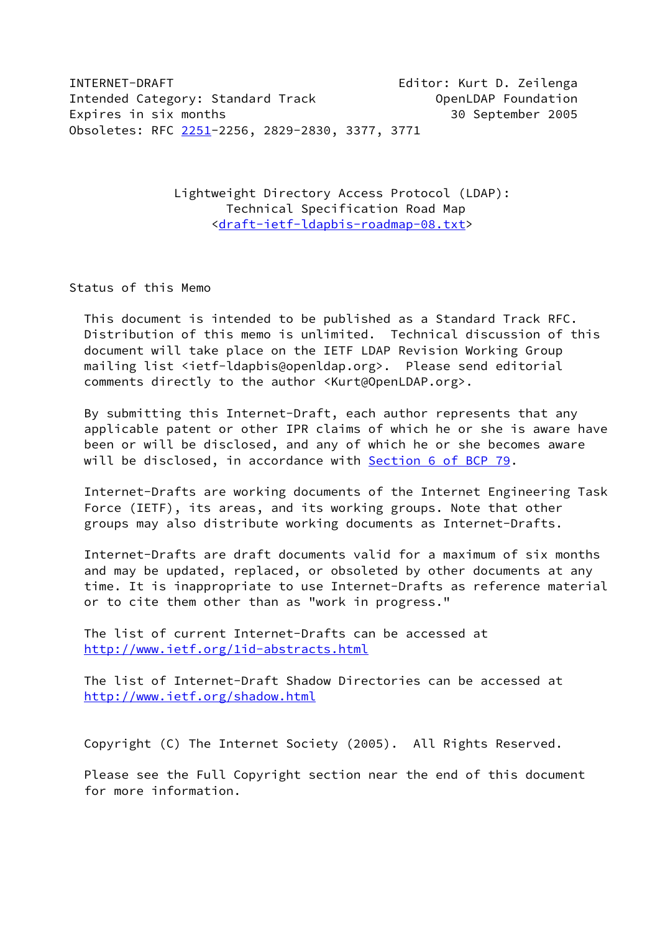INTERNET-DRAFT Editor: Kurt D. Zeilenga Intended Category: Standard Track **Category: Standard Track** OpenLDAP Foundation Expires in six months 30 September 2005 Obsoletes: RFC [2251-](https://datatracker.ietf.org/doc/pdf/rfc2251)2256, 2829-2830, 3377, 3771

> Lightweight Directory Access Protocol (LDAP): Technical Specification Road Map [<draft-ietf-ldapbis-roadmap-08.txt](https://datatracker.ietf.org/doc/pdf/draft-ietf-ldapbis-roadmap-08.txt)>

Status of this Memo

 This document is intended to be published as a Standard Track RFC. Distribution of this memo is unlimited. Technical discussion of this document will take place on the IETF LDAP Revision Working Group mailing list <ietf-ldapbis@openldap.org>. Please send editorial comments directly to the author <Kurt@OpenLDAP.org>.

 By submitting this Internet-Draft, each author represents that any applicable patent or other IPR claims of which he or she is aware have been or will be disclosed, and any of which he or she becomes aware will be disclosed, in accordance with Section [6 of BCP 79](https://datatracker.ietf.org/doc/pdf/bcp79#section-6).

 Internet-Drafts are working documents of the Internet Engineering Task Force (IETF), its areas, and its working groups. Note that other groups may also distribute working documents as Internet-Drafts.

 Internet-Drafts are draft documents valid for a maximum of six months and may be updated, replaced, or obsoleted by other documents at any time. It is inappropriate to use Internet-Drafts as reference material or to cite them other than as "work in progress."

 The list of current Internet-Drafts can be accessed at <http://www.ietf.org/1id-abstracts.html>

 The list of Internet-Draft Shadow Directories can be accessed at <http://www.ietf.org/shadow.html>

Copyright (C) The Internet Society (2005). All Rights Reserved.

 Please see the Full Copyright section near the end of this document for more information.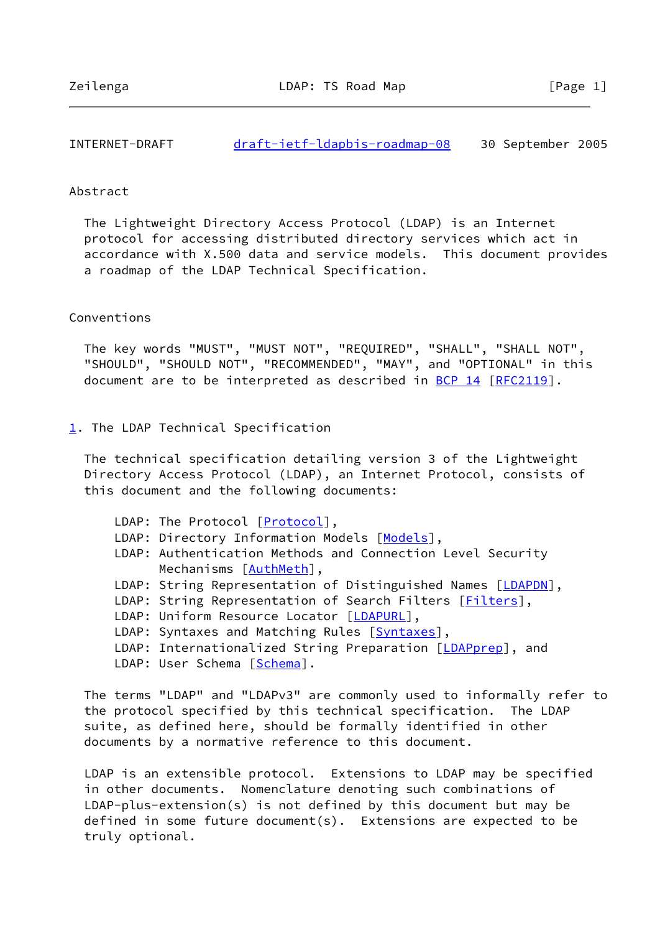INTERNET-DRAFT [draft-ietf-ldapbis-roadmap-08](https://datatracker.ietf.org/doc/pdf/draft-ietf-ldapbis-roadmap-08) 30 September 2005

### Abstract

 The Lightweight Directory Access Protocol (LDAP) is an Internet protocol for accessing distributed directory services which act in accordance with X.500 data and service models. This document provides a roadmap of the LDAP Technical Specification.

## Conventions

 The key words "MUST", "MUST NOT", "REQUIRED", "SHALL", "SHALL NOT", "SHOULD", "SHOULD NOT", "RECOMMENDED", "MAY", and "OPTIONAL" in this document are to be interpreted as described in [BCP 14](https://datatracker.ietf.org/doc/pdf/bcp14) [\[RFC2119](https://datatracker.ietf.org/doc/pdf/rfc2119)].

## <span id="page-1-0"></span>[1](#page-1-0). The LDAP Technical Specification

 The technical specification detailing version 3 of the Lightweight Directory Access Protocol (LDAP), an Internet Protocol, consists of this document and the following documents:

LDAP: The Protocol [[Protocol\]](#page-4-0), LDAP: Directory Information [Models](#page-4-1) [Models], LDAP: Authentication Methods and Connection Level Security Mechanisms [\[AuthMeth](#page-4-2)], LDAP: String Representation of Distinguished Names [[LDAPDN](#page-4-3)], LDAP: String Representation of Search Filters [\[Filters](#page-4-4)], LDAP: Uniform Resource Locator [[LDAPURL](#page-4-5)], LDAP: Syntaxes and Matching Rules [\[Syntaxes](#page-4-6)], LDAP: Internationalized String Preparation [[LDAPprep\]](#page-2-0), and LDAP: User Schema [\[Schema](#page-5-0)].

 The terms "LDAP" and "LDAPv3" are commonly used to informally refer to the protocol specified by this technical specification. The LDAP suite, as defined here, should be formally identified in other documents by a normative reference to this document.

 LDAP is an extensible protocol. Extensions to LDAP may be specified in other documents. Nomenclature denoting such combinations of LDAP-plus-extension(s) is not defined by this document but may be defined in some future document(s). Extensions are expected to be truly optional.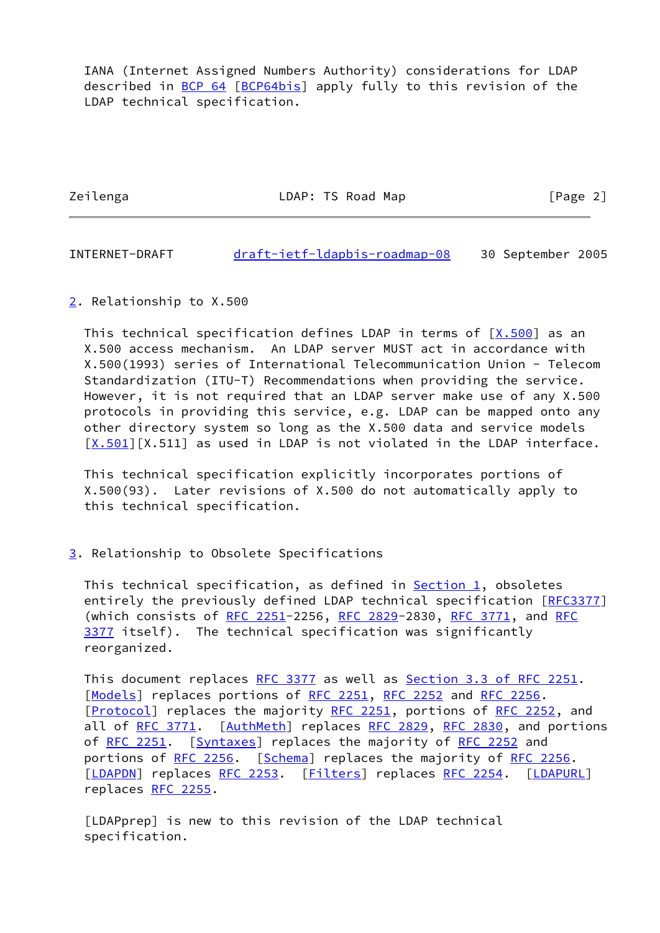IANA (Internet Assigned Numbers Authority) considerations for LDAP described in [BCP 64](https://datatracker.ietf.org/doc/pdf/bcp64) [[BCP64bis\]](#page-4-7) apply fully to this revision of the LDAP technical specification.

Zeilenga LDAP: TS Road Map [Page 2]

INTERNET-DRAFT [draft-ietf-ldapbis-roadmap-08](https://datatracker.ietf.org/doc/pdf/draft-ietf-ldapbis-roadmap-08) 30 September 2005

<span id="page-2-1"></span>[2](#page-2-1). Relationship to X.500

This technical specification defines LDAP in terms of  $[X.500]$  as an X.500 access mechanism. An LDAP server MUST act in accordance with X.500(1993) series of International Telecommunication Union - Telecom Standardization (ITU-T) Recommendations when providing the service. However, it is not required that an LDAP server make use of any X.500 protocols in providing this service, e.g. LDAP can be mapped onto any other directory system so long as the X.500 data and service models  $[X.501] [X.511]$  $[X.501] [X.511]$  as used in LDAP is not violated in the LDAP interface.

 This technical specification explicitly incorporates portions of X.500(93). Later revisions of X.500 do not automatically apply to this technical specification.

<span id="page-2-2"></span>[3](#page-2-2). Relationship to Obsolete Specifications

This technical specification, as defined in **Section 1**, obsoletes entirely the previously defined LDAP technical specification [\[RFC3377](https://datatracker.ietf.org/doc/pdf/rfc3377)] (which consists of [RFC 2251](https://datatracker.ietf.org/doc/pdf/rfc2251)-2256, [RFC 2829](https://datatracker.ietf.org/doc/pdf/rfc2829)-2830, [RFC 3771](https://datatracker.ietf.org/doc/pdf/rfc3771), and [RFC](https://datatracker.ietf.org/doc/pdf/rfc3377) [3377](https://datatracker.ietf.org/doc/pdf/rfc3377) itself). The technical specification was significantly reorganized.

This document replaces [RFC 3377](https://datatracker.ietf.org/doc/pdf/rfc3377) as well as Section [3.3 of RFC 2251](https://datatracker.ietf.org/doc/pdf/rfc2251#section-3.3). [\[Models](#page-4-1)] replaces portions of [RFC 2251](https://datatracker.ietf.org/doc/pdf/rfc2251), [RFC 2252](https://datatracker.ietf.org/doc/pdf/rfc2252) and [RFC 2256.](https://datatracker.ietf.org/doc/pdf/rfc2256) [\[Protocol](#page-4-0)] replaces the majority [RFC 2251](https://datatracker.ietf.org/doc/pdf/rfc2251), portions of [RFC 2252](https://datatracker.ietf.org/doc/pdf/rfc2252), and all of [RFC 3771](https://datatracker.ietf.org/doc/pdf/rfc3771). [\[AuthMeth](#page-4-2)] replaces [RFC 2829](https://datatracker.ietf.org/doc/pdf/rfc2829), [RFC 2830,](https://datatracker.ietf.org/doc/pdf/rfc2830) and portions of [RFC 2251](https://datatracker.ietf.org/doc/pdf/rfc2251). [\[Syntaxes](#page-4-6)] replaces the majority of [RFC 2252](https://datatracker.ietf.org/doc/pdf/rfc2252) and portions of [RFC 2256.](https://datatracker.ietf.org/doc/pdf/rfc2256) [[Schema](#page-5-0)] replaces the majority of [RFC 2256](https://datatracker.ietf.org/doc/pdf/rfc2256). [\[LDAPDN](#page-4-3)] replaces [RFC 2253](https://datatracker.ietf.org/doc/pdf/rfc2253). [\[Filters](#page-4-4)] replaces [RFC 2254.](https://datatracker.ietf.org/doc/pdf/rfc2254) [[LDAPURL](#page-4-5)] replaces [RFC 2255](https://datatracker.ietf.org/doc/pdf/rfc2255).

<span id="page-2-0"></span> [LDAPprep] is new to this revision of the LDAP technical specification.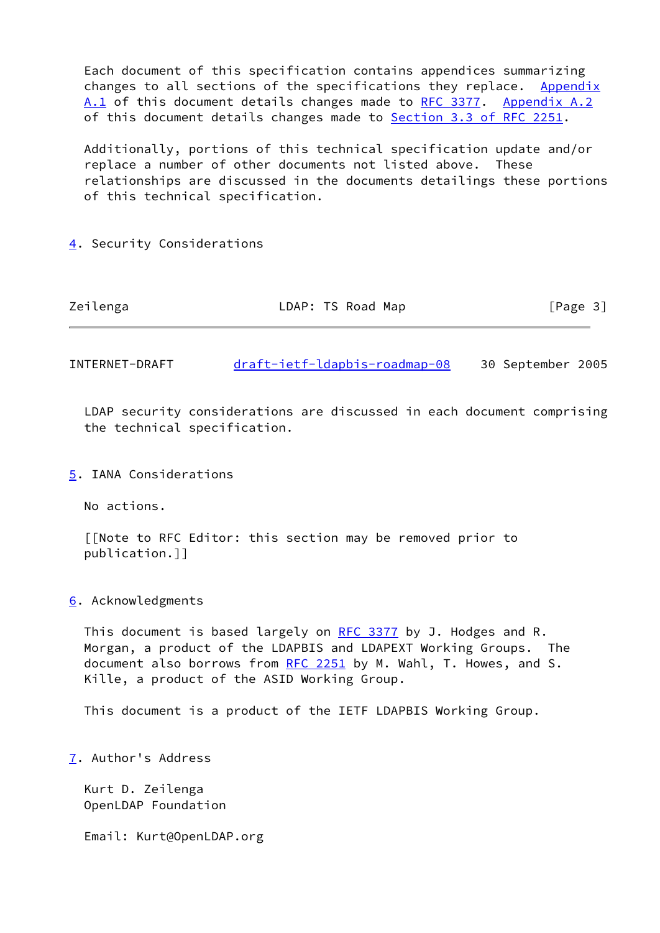Each document of this specification contains appendices summarizing changes to all sections of the specifications they replace. [Appendix](#page-5-3) [A.1](#page-5-3) of this document details changes made to [RFC 3377.](https://datatracker.ietf.org/doc/pdf/rfc3377) [Appendix A.2](#page-5-4) of this document details changes made to **Section [3.3 of RFC 2251](https://datatracker.ietf.org/doc/pdf/rfc2251#section-3.3).** 

 Additionally, portions of this technical specification update and/or replace a number of other documents not listed above. These relationships are discussed in the documents detailings these portions of this technical specification.

## <span id="page-3-0"></span>[4](#page-3-0). Security Considerations

| Zeilenga | LDAP: TS Road Map | [Page 3] |
|----------|-------------------|----------|
|          |                   |          |

INTERNET-DRAFT [draft-ietf-ldapbis-roadmap-08](https://datatracker.ietf.org/doc/pdf/draft-ietf-ldapbis-roadmap-08) 30 September 2005

 LDAP security considerations are discussed in each document comprising the technical specification.

## <span id="page-3-1"></span>[5](#page-3-1). IANA Considerations

No actions.

 [[Note to RFC Editor: this section may be removed prior to publication.]]

#### <span id="page-3-2"></span>[6](#page-3-2). Acknowledgments

This document is based largely on [RFC 3377](https://datatracker.ietf.org/doc/pdf/rfc3377) by J. Hodges and R. Morgan, a product of the LDAPBIS and LDAPEXT Working Groups. The document also borrows from [RFC 2251](https://datatracker.ietf.org/doc/pdf/rfc2251) by M. Wahl, T. Howes, and S. Kille, a product of the ASID Working Group.

This document is a product of the IETF LDAPBIS Working Group.

<span id="page-3-3"></span>[7](#page-3-3). Author's Address

 Kurt D. Zeilenga OpenLDAP Foundation

Email: Kurt@OpenLDAP.org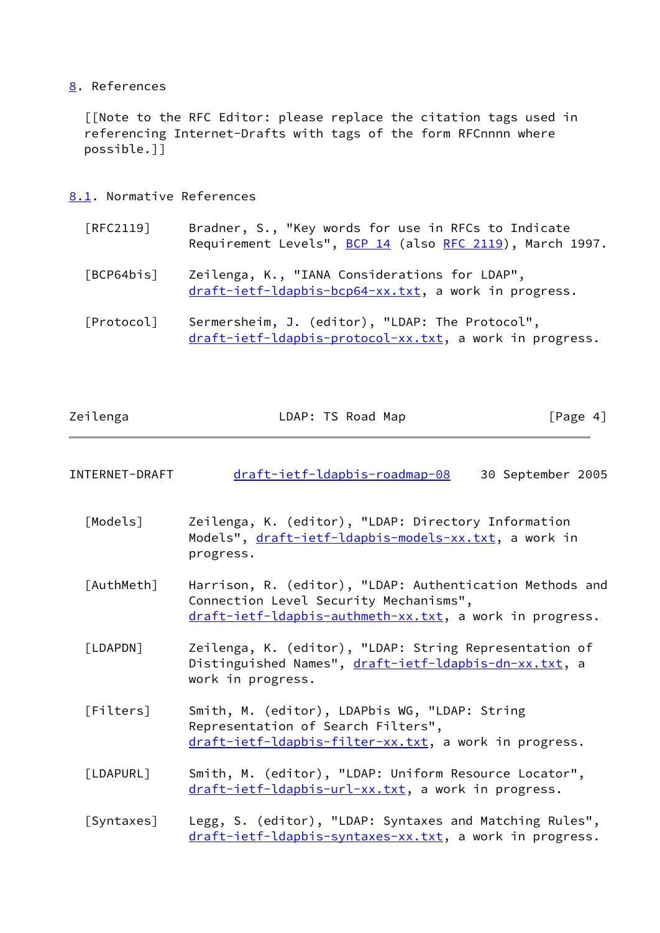# <span id="page-4-8"></span>[8](#page-4-8). References

 [[Note to the RFC Editor: please replace the citation tags used in referencing Internet-Drafts with tags of the form RFCnnnn where possible.]]

- <span id="page-4-9"></span><span id="page-4-7"></span>[8.1](#page-4-9). Normative References
	- [RFC2119] Bradner, S., "Key words for use in RFCs to Indicate Requirement Levels", [BCP 14](https://datatracker.ietf.org/doc/pdf/bcp14) (also [RFC 2119\)](https://datatracker.ietf.org/doc/pdf/rfc2119), March 1997.
	- [BCP64bis] Zeilenga, K., "IANA Considerations for LDAP", [draft-ietf-ldapbis-bcp64-xx.txt](https://datatracker.ietf.org/doc/pdf/draft-ietf-ldapbis-bcp64-xx.txt), a work in progress.
	- [Protocol] Sermersheim, J. (editor), "LDAP: The Protocol", [draft-ietf-ldapbis-protocol-xx.txt,](https://datatracker.ietf.org/doc/pdf/draft-ietf-ldapbis-protocol-xx.txt) a work in progress.

<span id="page-4-0"></span>

| Zeilenga       | LDAP: TS Road Map             | [Page 4]          |  |
|----------------|-------------------------------|-------------------|--|
|                |                               |                   |  |
| INTERNET-DRAFT | draft-ietf-ldapbis-roadmap-08 | 30 September 2005 |  |

- <span id="page-4-1"></span> [Models] Zeilenga, K. (editor), "LDAP: Directory Information Models", [draft-ietf-ldapbis-models-xx.txt](https://datatracker.ietf.org/doc/pdf/draft-ietf-ldapbis-models-xx.txt), a work in progress.
- <span id="page-4-2"></span> [AuthMeth] Harrison, R. (editor), "LDAP: Authentication Methods and Connection Level Security Mechanisms", [draft-ietf-ldapbis-authmeth-xx.txt,](https://datatracker.ietf.org/doc/pdf/draft-ietf-ldapbis-authmeth-xx.txt) a work in progress.
- <span id="page-4-3"></span> [LDAPDN] Zeilenga, K. (editor), "LDAP: String Representation of Distinguished Names", [draft-ietf-ldapbis-dn-xx.txt,](https://datatracker.ietf.org/doc/pdf/draft-ietf-ldapbis-dn-xx.txt) a work in progress.
- <span id="page-4-4"></span> [Filters] Smith, M. (editor), LDAPbis WG, "LDAP: String Representation of Search Filters", [draft-ietf-ldapbis-filter-xx.txt](https://datatracker.ietf.org/doc/pdf/draft-ietf-ldapbis-filter-xx.txt), a work in progress.
- <span id="page-4-5"></span> [LDAPURL] Smith, M. (editor), "LDAP: Uniform Resource Locator", [draft-ietf-ldapbis-url-xx.txt](https://datatracker.ietf.org/doc/pdf/draft-ietf-ldapbis-url-xx.txt), a work in progress.
- <span id="page-4-6"></span> [Syntaxes] Legg, S. (editor), "LDAP: Syntaxes and Matching Rules", [draft-ietf-ldapbis-syntaxes-xx.txt,](https://datatracker.ietf.org/doc/pdf/draft-ietf-ldapbis-syntaxes-xx.txt) a work in progress.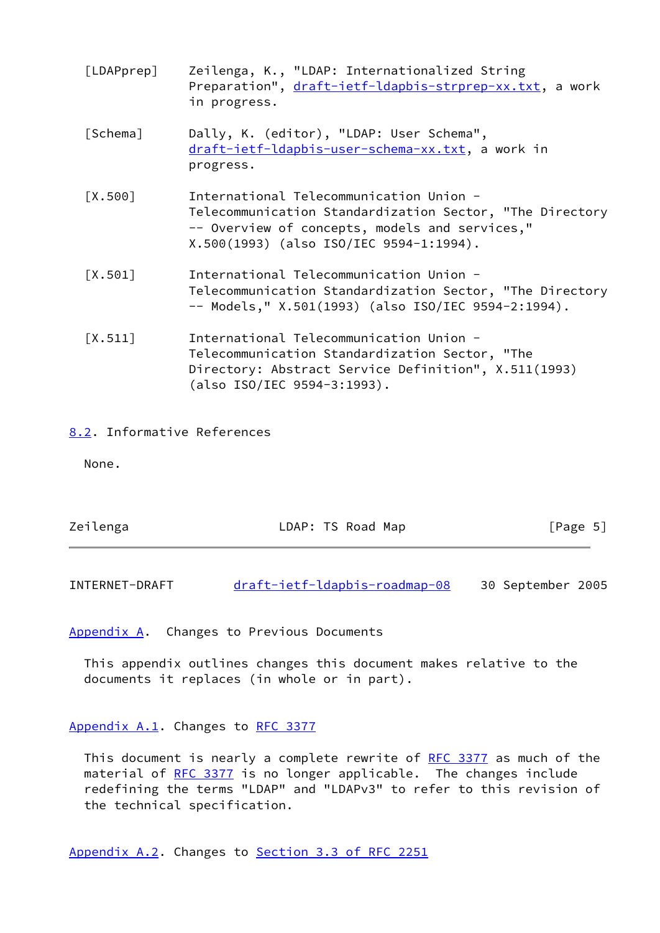<span id="page-5-1"></span><span id="page-5-0"></span>

| [LDAPprep] | Zeilenga, K., "LDAP: Internationalized String<br>Preparation", draft-ietf-ldapbis-strprep-xx.txt, a work<br>in progress.                                                                         |
|------------|--------------------------------------------------------------------------------------------------------------------------------------------------------------------------------------------------|
| [Schema]   | Dally, K. (editor), "LDAP: User Schema",<br>draft-ietf-ldapbis-user-schema-xx.txt, a work in<br>progress.                                                                                        |
| [X.500]    | International Telecommunication Union -<br>Telecommunication Standardization Sector, "The Directory<br>-- Overview of concepts, models and services,"<br>X.500(1993) (also ISO/IEC 9594-1:1994). |
| [X.501]    | International Telecommunication Union -<br>Telecommunication Standardization Sector, "The Directory<br>-- Models," X.501(1993) (also ISO/IEC 9594-2:1994).                                       |
| [X.511]    | International Telecommunication Union -<br>Telecommunication Standardization Sector, "The<br>Directory: Abstract Service Definition", X.511(1993)<br>(also ISO/IEC 9594-3:1993).                 |

## <span id="page-5-5"></span><span id="page-5-2"></span>[8.2](#page-5-5). Informative References

None.

| Zeilenga | LDAP: TS Road Map | [Page 5] |
|----------|-------------------|----------|
|          |                   |          |

INTERNET-DRAFT [draft-ietf-ldapbis-roadmap-08](https://datatracker.ietf.org/doc/pdf/draft-ietf-ldapbis-roadmap-08) 30 September 2005

<span id="page-5-6"></span>[Appendix A.](#page-5-6) Changes to Previous Documents

 This appendix outlines changes this document makes relative to the documents it replaces (in whole or in part).

## <span id="page-5-3"></span>[Appendix A.1](#page-5-3). Changes to [RFC 3377](https://datatracker.ietf.org/doc/pdf/rfc3377)

This document is nearly a complete rewrite of [RFC 3377](https://datatracker.ietf.org/doc/pdf/rfc3377) as much of the material of [RFC 3377](https://datatracker.ietf.org/doc/pdf/rfc3377) is no longer applicable. The changes include redefining the terms "LDAP" and "LDAPv3" to refer to this revision of the technical specification.

<span id="page-5-4"></span>[Appendix A.2](#page-5-4). Changes to Section [3.3 of RFC 2251](https://datatracker.ietf.org/doc/pdf/rfc2251#section-3.3)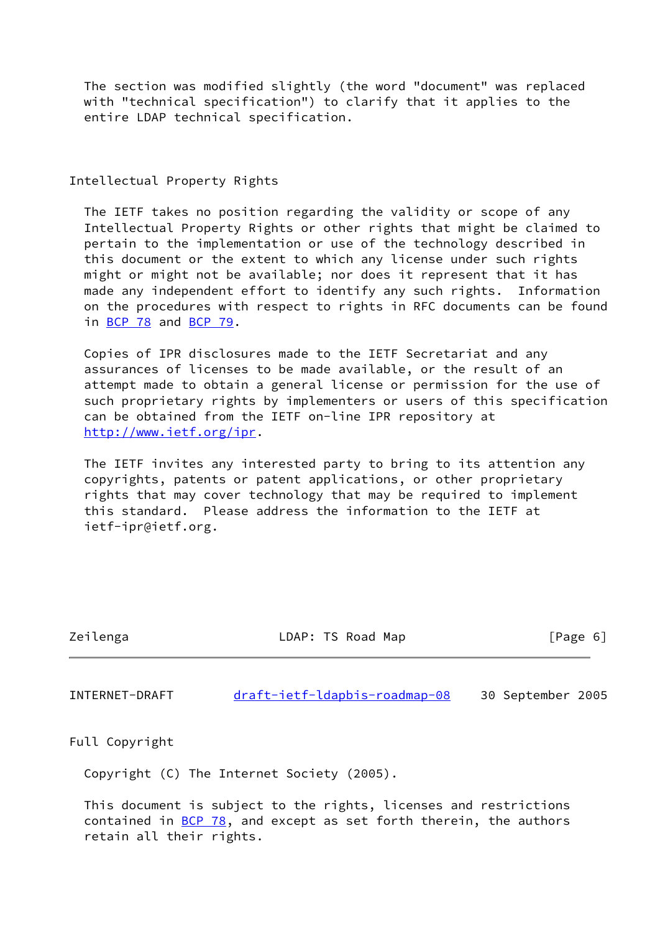The section was modified slightly (the word "document" was replaced with "technical specification") to clarify that it applies to the entire LDAP technical specification.

## Intellectual Property Rights

 The IETF takes no position regarding the validity or scope of any Intellectual Property Rights or other rights that might be claimed to pertain to the implementation or use of the technology described in this document or the extent to which any license under such rights might or might not be available; nor does it represent that it has made any independent effort to identify any such rights. Information on the procedures with respect to rights in RFC documents can be found in [BCP 78](https://datatracker.ietf.org/doc/pdf/bcp78) and [BCP 79](https://datatracker.ietf.org/doc/pdf/bcp79).

 Copies of IPR disclosures made to the IETF Secretariat and any assurances of licenses to be made available, or the result of an attempt made to obtain a general license or permission for the use of such proprietary rights by implementers or users of this specification can be obtained from the IETF on-line IPR repository at <http://www.ietf.org/ipr>.

 The IETF invites any interested party to bring to its attention any copyrights, patents or patent applications, or other proprietary rights that may cover technology that may be required to implement this standard. Please address the information to the IETF at ietf-ipr@ietf.org.

| Zeilenga       | LDAP: TS Road Map             | [Page 6]          |  |
|----------------|-------------------------------|-------------------|--|
|                |                               |                   |  |
| INTERNET-DRAFT | draft-ietf-ldapbis-roadmap-08 | 30 September 2005 |  |

Full Copyright

Copyright (C) The Internet Society (2005).

 This document is subject to the rights, licenses and restrictions contained in  $BCP$  78, and except as set forth therein, the authors retain all their rights.